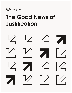# Week **6** The Good News of **Justification**

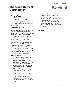# **Living FDFD** Week **6**

# **The Good News of Justi!cation**

# **Day One: Justified by Faith**

Go to the Living FDFD website, Week Six, to listen to the audio resources for this day.

#### **MESSAGE OUTLINE:**

**Reality Check:** We all, from time to time, are tempted to point to our achievements and our moral record in order to justify our existence. Worse than that, some of us point to our wealth, our social status, or our beauty to justify our existence. In other words, these things can be what we hope will justify us feeling like we are SOMEBODY. All this flows from the insecurities that have followed us from the Fall. The problem is that this justification is EARNED and can be LOST at any time. Therefore, whenever we try to justify ourselves, it only adds to our insecurities.

#### **A BETTER JUSTIFICATION:**

- 1. A righteous record/justification that belongs to Christ and is transferred to us when we place our trust in Him. This perfect record of righteousness replaces our record of sin when we embrace God's kindness found in Christ.
- 2. This record or righteousness/ justification is a free gift that comes to us as a by-product of our faith/trust in Christ. It is not earned or deserved. It says a lot about the greatness and graciousness of God and very little about who we are apart from Him.

3. We all want our lives to matter; that goes without saying. But instead of trying to make a name for ourselves, a better justification makes a name for God. If we don't mind making a big deal about Him and glorifying Him, then we can have His justification flow to us.

#### **NOTES:**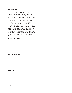#### **SCRIPTURE:**

**Romans 3:21-26 NIV** | *But now the righteousness of God has been manifested apart from the law, although the Law and the Prophets bear witness to it— the righteousness of God through faith in Jesus Christ for all who believe. For there is no distinction: for Fall have sinned and fall short of the glory of God, and are justi*!*ed by his grace as a gift, through the redemption that is in Christ Jesus, whom God put forward as a propitiation by his blood, to be received by faith. This was to show God's righteousness, because in his divine forbearance he had passed over former sins. It was to show his righteousness at the present time, so that he might be just and the justifier of the one who has faith in Jesus.*

#### **OBSERVATION:**

#### **APPLICATION:**

**PRAYER:**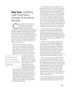### **Day Two:** Justifying Faith Trusts God Enough to do What He Says

learly, the failure to trust God<br>
was Adam's undoing and<br>
caused the break in his<br>
relationship with God. The<br>
Gospel promises that all those who followed was Adam's undoing and caused the break in his relationship with God. The Adam in rebellion against God's authority can be restored in their relationship with God. In order to enjoy a restored relationship with God we need to embrace personally the rescue of God found in Jesus Christ. In short, we need to embrace the kindness of God in Christ. What does this mean? Tim Keller has this to say:

*The faith that changes the life and connects to God is best conveyed by the word "trust." Imagine you are on a high cliff and you lose your footing and begin to fall. Just beside you as you fall is a branch sticking out of the very edge of the cliff. It is your only hope and* 

The good news is that we are free to obey the commands imperfectly.

*it is more than strong enough to support your weight. How can it save you? If your mind is* !*lled with intellectual certainty that the branch can support you, but you don't actually reach out and grab it, you are lost.* 

*If your mind is instead* !*lled with doubts and uncertainty that the branch can hold you, but you reach out and grab it anyway, you will be saved. Why? It is not the strength of your faith but the object of your faith that actually saves you. Strong faith in a weak branch is fatally inferior to weak faith in a strong branch. (The Reason For God)*

It is not the purity of your heart or your sincerity but the work of Christ on the cross that saves us. I think too many people wait for God to overwhelm them with emotion. In other words, it's easier to FEEL like there's no other alternative open to us except faith in God. Even though God never expects us to violate our better judgment, He does expect us to act on what He has revealed to us—His Son. Ultimately, the resurrection of Jesus Christ is the validation that everything Jesus said and did was true. We believe on the basis of that miracle. And it is from that foundation that we can build a life of trust.

When Adam and Eve obeyed God in the Garden, they experienced a life free of fear and insecurity. But as soon as they rebelled they began to experience a life filled with FEAR and INSECURITY. Immediately, they blamed each other and God for their failures. This is the first sign of PRIDE that we see in them.

Pride is found in religious people who look down on others. They compare their own obedience, their own moral record, or their own spiritual resume with others. They believe that it is this record that will ultimately justify them. However, because they know that they have an imperfect record, every command of God is a crushing burden and another reminder that they don't have what it takes-insecurity.

This is why the Gospel is GOOD NEWS. It is the news that Christ has taken our fear and insecurity and carried it to the Cross. The "religious person" tends to minimize their sin and find pride in their own moral record, and, therefore, they don't appreciate the goodness of the Gospel. In other words, "religious people" use obedience to the commands of God as a means to feel superior to and look down upon others. The Gospel is not good news for them since it doesn't apply to them.

Those that have embraced the Gospel freely choose to obey the commands, even if imperfectly. We have no reason to fear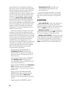punishment for our imperfect obedience. This is the cure for our fears and insecurities. We can simply continue to walk with God, asking for His help, knowing there is no condemnation for us. We no longer have to fear his punishment. Like the Apostle John wrote in 1 John 4:18 NIV, *"There is no fear in love. But perfect love drives out fear, because fear has to do with punishment. The one who fears is not made perfect in love."* In the message you listened to on Day One by Tim Keller, you were reminded that there is a better motivation than fear for obedience. It is love and gratitude and a desire to honor Christ.

When we trust God enough to do what He says, it shows that we believe that His commands are good. It also shows that we believe that He is FOR US! God's commands are now seen as His guidance toward a life of thriving. Dr. Henry Cloud wrote a book entitled *The Law of Happiness*. In it, he discusses how spiritual wisdom (commands of God) can change our life and lead to a life of JOY. Here are some of the chapter titles (all these behaviors are actually commanded in Scripture):

- Happy people are GIVERS (See **1 Corinthians 9:13-14**; Christians are commanded to support the ministry of the local church through giving 10% of their income.)
- Happy people don't wait for SOMEDAY (See **Matthew 6:34**; Christians are commanded to focus on today and not worry about tomorrow.)
- Happy people FORGIVE (See **Colossians 3:13**; Christians are commanded to forgive others in the same way as Christ forgave us.)
- Happy people USE THEIR GIFTS AND ABILITIES for the glory of God and the good of others. (See **1 Peter 2:12**; Christians are commanded to do good works.)
- Happy people are GRATEFUL (See **1**

**Thessalonians 5:18**; Christians are commanded to give thanks in all circumstances.)

You get the idea. God loves us enough that He commanded us. This is good news. Now let's trust Him enough to do what He said.

#### **SCRIPTURE:**

**John 6:28-29 NIV** *| Then they asked him, "What must we do to do the works God requires?" Jesus answered, "The work of God is this: to believe in the one he has sent."*

**Ephesians 2:8 NIV** *| For it is by grace you have been saved, through faith—and this is not from yourselves, it is the gift of God.*

**Matthew 28:19-20 NIV** *| Therefore go and make disciples of all nations, baptizing them in the name of the Father and of the Son and of the Holy Spirit, and teaching them to obey everything I have commanded you.*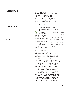#### **OBSERVATION:**

#### **APPLICATION:**

#### **PRAYER:**

# **Day Three: Justifying** Faith Trusts God Enough to Gladly Receive Our Identity from Him

Ultimately, idols leave us empty because our hearts were created

for God. According to the seventeenth century French philosopher, Blaise Pascal, *"God created our hearts with a vacuum."* His point is this, we all search for something in this world to fulfill our deepest longings, but we are always disappointed and left unsatisfied because our hearts

… there is nothing we can do to GET HIM TO LOVE US MORE and there is nothing we can do that would CAUSE HIM TO LOVE US LESS

need something that only God can fill something TRANSCENDENT or ETERNAL. Augustine put it this way, *"You have made us for Yourself, Lord. Our hearts are restless until they*  !*nd their rest in You."*

At the Fall of Adam and Eve, we see that they were instantly afraid and insecure. And now, because of the Fall, we are all naturally filled with fear and insecurities. And that is what drives our pursuit of idols. We think if I only had  $\qquad \qquad$  (something that is not God), then my life would be worth living. I would !nally be happy. I would !nally feel like I am somebody. The wickedness of IDOL WORSHIP is that it promises satisfaction but never delivers. Therefore, the good news of the Gospel is that we can be satisfied IN CHRIST. IN HIM we have a NEW IDENTITY.

The faith that justifies us is the faith that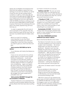rejects all counterfeits and embraces the God that has justified us apart from any earning on our part. Our identity, our sense of self, the story we tell ourselves about ourselves, is a gift to us from God. We are now loved unconditionally IN CHRIST. We are now forgiven permanently IN CHRIST. And there is nothing we can do to GET HIM TO LOVE US MORE and there is nothing we can do that would CAUSE HIM TO LOVE US LESS. A person that knows this embraces this and lives in this reality, experiencing JOY from that day on.

In order to appreciate this, let's look at some examples of the opposite. First, let's look at what we mean by the word "idol." In his book *Counterfeit Gods*, Tim Keller wrote this:

*What is an idol? It is anything more important to you than God, anything that absorbs your heart and imagination more than God, anything you seek to give you what only God can give.*

#### **Idols promise SUCCESS but fail to deliver.**

In an interview with *Vanity Fair,* Madonna revealed,

*I have an iron will, and all of my will has always been to conquer some horrible feeling of inadequacy… I push past one spell of it and discover myself as a special human being and then I get to another stage and think I'm mediocre and uninteresting… Again and again. My drive in life is from this horrible fear of being mediocre. And that's always pushing me, pushing me. Because even though I've become Somebody, I still have to prove that I'm Somebody. My struggle has never ended and it probably never will.*

#### **Idols promise SECURITY through the accumulation of WEALTH.**

Friedrich Nietzsche once predicted that mankind would someday replace God with money. Read what God says about putting

our hope in money for our security.

**Matthew 6:24 NIV** *"No one can serve two masters. Either you will hate the one and love the other, or you will be devoted to the one and despise the other. You cannot serve both God and money."*

**1 Timothy 6:17 NIV** *"Command those who are rich in this present world not to be arrogant nor to put their hope in wealth, which is so uncertain, but to put their hope in God, who richly provides us with everything for our enjoyment."*

**Ecclesiastes 5:10 NIV** *"Whoever loves money never has enough; whoever loves wealth is never satis*!*ed with their income. This too is meaningless."*

#### **The idol of ROMANCE promises ful!llment but doesn't deliver.**

Read what Earnest Becker once wrote:

*The failure of romantic love as a solution to human problems is so much a part of modern man's frustration… No human relationship can bear the burden of godhood… However much we may idealize him (the love of a partner), he inevitably reflects earthly decay and imperfection… After all, what is it that we want when we elevate the love partner to this position? We want to be rid of our faults, of our feeling of nothingness. We want to be justi*!*ed, to know our existence has not been in vain. We want redemption - nothing less. Needless to say, human partners cannot give this.*

I like what J.D. Greear wrote in his book *Gospel*,

*We are adulterers to God when we demand that He give us certain things so that we can* !*nd happiness, contentedness, and security that really we should be* !*nding in Him.* 

With this in mind, we can embrace the good news of Christ's justification and find our IDENTITY IN HIM. We no longer need to struggle to earn our own justification through romantic partners, money, success, or fame. This is indeed GOOD NEWS!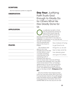#### **SCRIPTURE:**

See the Scriptures quoted on page 58.

#### **OBSERVATION:**

#### **APPLICATION:**

#### **PRAYER:**

# **Day Four:** Justifying Faith Trusts God Enough to Gladly Do for Others What He Has Gladly Done for Us

UP justification by faith in Christ<br>
puts into perspective all that we<br>
used to think would make life<br>
worth living. All the money, sex,<br>
success, and power that used to be so puts into perspective all that we used to think would make life worth living. All the money, sex, important to us "pre Christ" is now seen as GARBAGE in comparison to our new life and

new self "in-Christ." Read what the Apostle Paul wrote to the church in Philippi:

*"But whatever were gains to me I now consider loss for the sake of Christ. What is more, I consider everything a loss because of the surpassing worth of knowing Christ Jesus my* 

Now instead of trying to get God to do things for us, we are free to take what He has already given and give it to others.

*Lord, for whose sake I have lost all things. I consider them garbage, that I may gain Christ and be found in him, not having a righteousness of my own that comes from the law, but that which is through faith in Christ—the righteousness that comes from God on the basis of faith"* (**Philippians 3:7-9 NIV**).

Only the Christian that embraces these truths can truly serve others. Why is this true? It is true because anyone who is still trying to justify themselves will end up USING OTHERS to feel good about themselves rather than LOVING THEM. So the only way we can love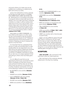and serve others is to make sure we are justified (as in justifying our existence) by faith and not by our works.

James, the half-brother of Jesus, reminds us that genuine faith results in us DOING FOR OTHERS WHAT CHRIST HAS DONE FOR US. *"What good is it, my brothers and sisters, if someone claims to have faith but has no deeds? Can such faith save them? Suppose a brother or a sister is without clothes and daily food. If one of you says to them, 'Go in peace; keep warm and well fed,' but does nothing about their physical needs, what good is it? In the same way, faith by itself, if it is not accompanied by action, is dead."* (**James 2:14-17 NIV**)

Jesus gave us a NEW COMMAND—to love others as He loved us. In other words, we are commanded to ask this question: "What does love require of me?" Instead of measuring God's love by His provision of a miracle or blessing, we are to measure His love for us by the Cross.

It is important that we understand that all love is costly and sacrificial. But it is also doable. What we are expected to do is to take all the love, grace, forgiveness, kindness, and goodness that Christ poured out on us and be a CONDUIT of all these to others. So our role now is to simply represent Christ well, giving to others what was freely given to us.

It is not difficult to see that we are expected by God to be connected to each other in the Body of Christ (the church). Look at this list of all the ways we can take what Christ has done for us and pass it on to others. Scripture commands us to do all of the following in relation to one another:

- Be DEVOTED to one another (**Romans 12:10**)
- HONOR one another (**Romans 12:10**)
- Live in HARMONY with one another (**Romans 12:16; 1 Peter 3:8**)
- ACCEPT one another (**Romans 15:7**)
- SERVE one another in love (**Galatians**

#### **5:13**)

- Be KIND and COMPASSIONATE to one another (**Ephesians 4:32**)
- ADMONISH one another (**Colossians 3:16**)
- ENCOURAGE one another (**1 Thessalonians 5:11; Hebrews 3:13**)
- SPUR one another on toward love and good deeds (**Hebrews 10:24**)
- Offer HOSPITALITY to one another (**1 Peter 4:9**)
- LOVE one another (**1 Peter 1:22; 1 John 3:11; 3:23; 4:7; 4:11-12**)
- GREET one another with a holy kiss (preor post-Covid)

Again, we are justified by grace through faith. There is nothing we can do to get God to love us more or less. When we are found in Christ, all the "spiritual blessings" associated with our new status belong to us. Now instead of trying to get God to do things for us, we are free to take what He has already given and give it to others.

#### **SCRIPTURE:**

**John 15:12 NIV** | *My command is this: Love each other as I have loved you.* 

Also, look back at the scriptures already referenced in the Day Four reading.